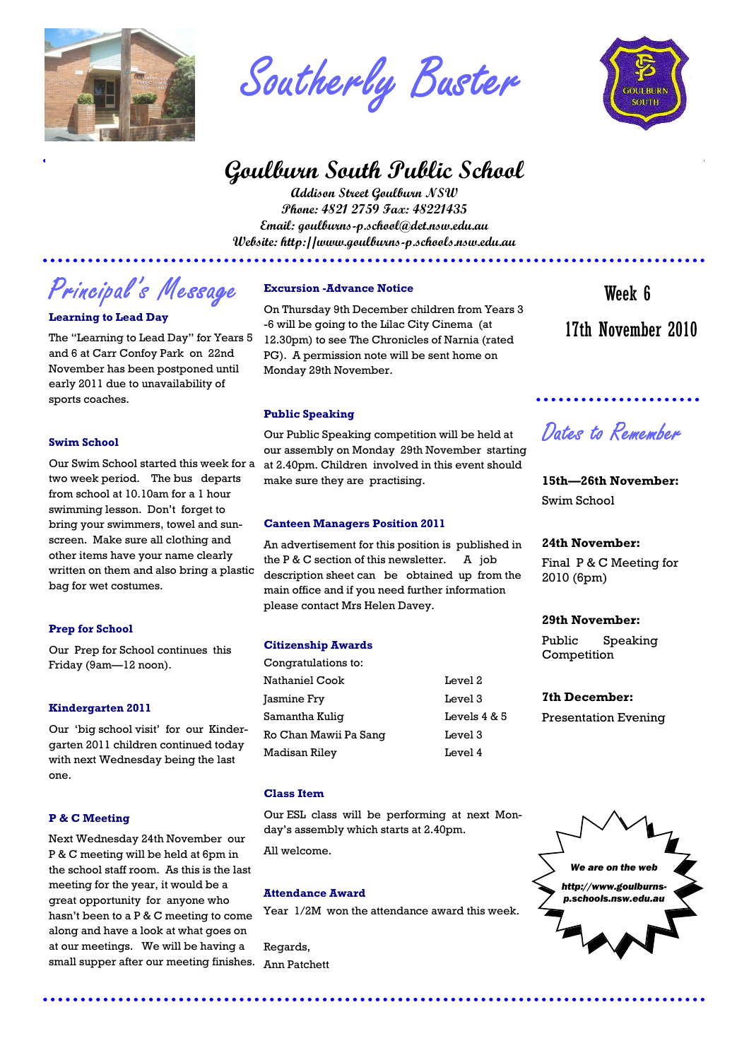

Southerly Buster

## **Goulburn South Public School**

**Addison Street Goulburn NSW Phone: 4821 2759 Fax: 48221435 Email: goulburns-p.school@det.nsw.edu.au Website: http://www.goulburns-p.schools.nsw.edu.au** 

# Principal's Message

#### **Learning to Lead Day**

The "Learning to Lead Day" for Years 5 and 6 at Carr Confoy Park on 22nd November has been postponed until early 2011 due to unavailability of sports coaches.

#### **Swim School**

Our Swim School started this week for a two week period. The bus departs from school at 10.10am for a 1 hour swimming lesson. Don't forget to bring your swimmers, towel and sunscreen. Make sure all clothing and other items have your name clearly written on them and also bring a plastic bag for wet costumes.

#### **Prep for School**

Our Prep for School continues this Friday (9am—12 noon).

#### **Kindergarten 2011**

Our 'big school visit' for our Kindergarten 2011 children continued today with next Wednesday being the last one.

#### **P & C Meeting**

Next Wednesday 24th November our P & C meeting will be held at 6pm in the school staff room. As this is the last meeting for the year, it would be a great opportunity for anyone who hasn't been to a P & C meeting to come along and have a look at what goes on at our meetings. We will be having a small supper after our meeting finishes.

#### **Excursion -Advance Notice**

On Thursday 9th December children from Years 3 -6 will be going to the Lilac City Cinema (at 12.30pm) to see The Chronicles of Narnia (rated PG). A permission note will be sent home on Monday 29th November.

\*\*\*\*\*\*\*\*\*\*\*\*\*\*\*\*\*\*\*\*\*\*\*\*\*\*

#### **Public Speaking**

Our Public Speaking competition will be held at our assembly on Monday 29th November starting at 2.40pm. Children involved in this event should make sure they are practising.

#### **Canteen Managers Position 2011**

An advertisement for this position is published in the P & C section of this newsletter. A job description sheet can be obtained up from the main office and if you need further information please contact Mrs Helen Davey.

#### **Citizenship Awards**

Congratulations to: Nathaniel Cook Level 2 Jasmine Fry Level 3 Samantha Kuliq Levels 4 & 5 Ro Chan Mawii Pa Sang [18] Level 3 Madisan Riley Level 4

#### **Class Item**

Our ESL class will be performing at next Monday's assembly which starts at 2.40pm.

All welcome.

#### **Attendance Award**

Year 1/2M won the attendance award this week.

Regards, Ann Patchett



 17th November 2010 Week 6

### Dates to Remember

**15th—26th November:**  Swim School

#### **24th November:**

Final P & C Meeting for 2010 (6pm)

#### **29th November:**

Public Speaking **Competition** 

#### **7th December:**

Presentation Evening

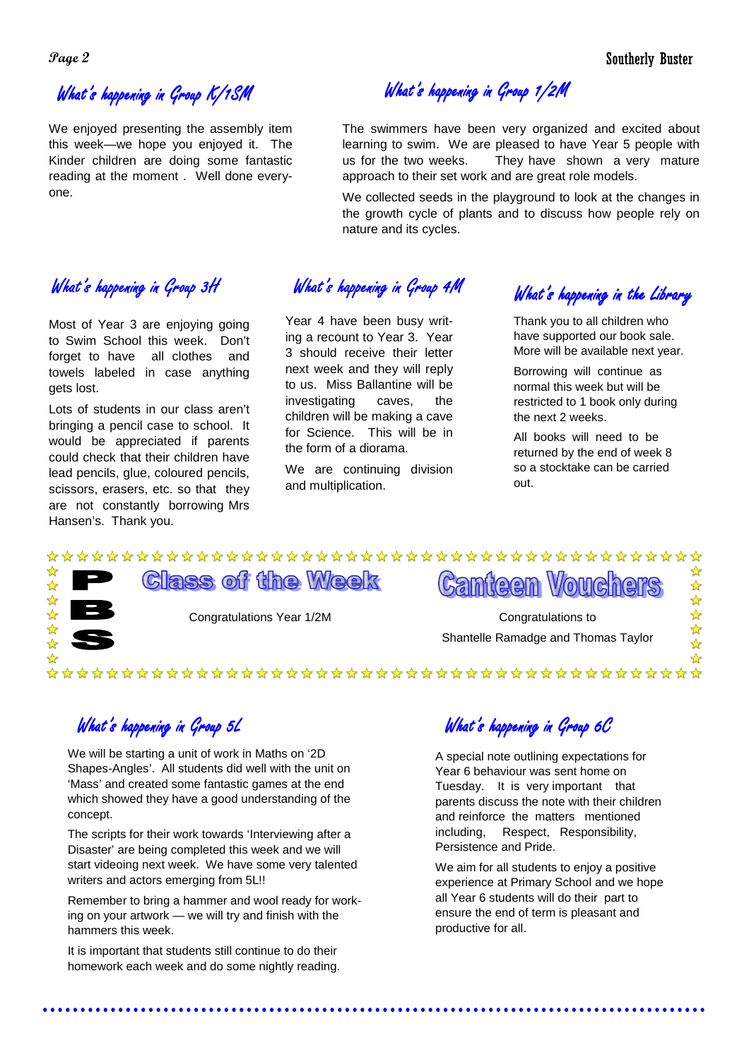### What's happening in Group K/1SM

We enjoyed presenting the assembly item this week—we hope you enjoyed it. The Kinder children are doing some fantastic reading at the moment . Well done everyone.

What's happening in Group  $1/2M$ 

The swimmers have been very organized and excited about learning to swim. We are pleased to have Year 5 people with us for the two weeks. They have shown a very mature approach to their set work and are great role models.

We collected seeds in the playground to look at the changes in the growth cycle of plants and to discuss how people rely on nature and its cycles.

Most of Year 3 are enjoying going to Swim School this week. Don't forget to have all clothes and towels labeled in case anything gets lost.

Lots of students in our class aren't bringing a pencil case to school. It would be appreciated if parents could check that their children have lead pencils, glue, coloured pencils, scissors, erasers, etc. so that they are not constantly borrowing Mrs Hansen's. Thank you.

What's happening in Group 3H What's happening in Group 4M

Year 4 have been busy writing a recount to Year 3. Year 3 should receive their letter next week and they will reply to us. Miss Ballantine will be investigating caves, the children will be making a cave for Science. This will be in the form of a diorama.

We are continuing division and multiplication.

What's happening in the Library

Thank you to all children who have supported our book sale. More will be available next year.

Borrowing will continue as normal this week but will be restricted to 1 book only during the next 2 weeks.

All books will need to be returned by the end of week 8 so a stocktake can be carried out.

 $\frac{1}{M}$ 

### 好好好好好好 **Class of the Week Canteen Vouche**



Congratulations Year 1/2M Congratulations to

Shantelle Ramadge and Thomas Taylor

### 

### What's happening in Group 5L

We will be starting a unit of work in Maths on '2D Shapes-Angles'. All students did well with the unit on 'Mass' and created some fantastic games at the end which showed they have a good understanding of the concept.

The scripts for their work towards 'Interviewing after a Disaster' are being completed this week and we will start videoing next week. We have some very talented writers and actors emerging from 5L!!

Remember to bring a hammer and wool ready for working on your artwork — we will try and finish with the hammers this week.

It is important that students still continue to do their homework each week and do some nightly reading.

What's happening in Group 6C

A special note outlining expectations for Year 6 behaviour was sent home on Tuesday. It is very important that parents discuss the note with their children and reinforce the matters mentioned including, Respect, Responsibility, Persistence and Pride.

We aim for all students to enjoy a positive experience at Primary School and we hope all Year 6 students will do their part to ensure the end of term is pleasant and productive for all.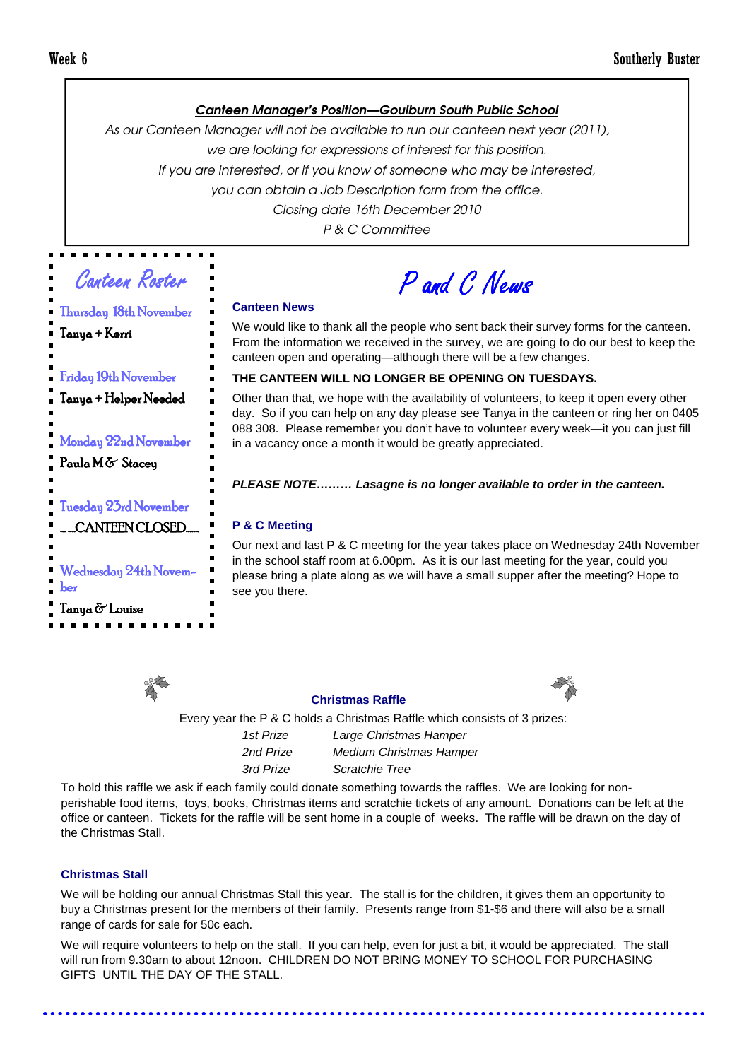#### Canteen Manager's Position—Goulburn South Public School

As our Canteen Manager will not be available to run our canteen next year (2011), we are looking for expressions of interest for this position.

If you are interested, or if you know of someone who may be interested,

you can obtain a Job Description form from the office.

Closing date 16th December 2010

P & C Committee

Canteen Roster

Thursday 18th November

P and C News

#### **Canteen News**

We would like to thank all the people who sent back their survey forms for the canteen. From the information we received in the survey, we are going to do our best to keep the canteen open and operating—although there will be a few changes.

#### **THE CANTEEN WILL NO LONGER BE OPENING ON TUESDAYS.**

Other than that, we hope with the availability of volunteers, to keep it open every other day. So if you can help on any day please see Tanya in the canteen or ring her on 0405 088 308. Please remember you don't have to volunteer every week—it you can just fill in a vacancy once a month it would be greatly appreciated.

#### **PLEASE NOTE……… Lasagne is no longer available to order in the canteen.**

#### **P & C Meeting**

Our next and last P & C meeting for the year takes place on Wednesday 24th November in the school staff room at 6.00pm. As it is our last meeting for the year, could you please bring a plate along as we will have a small supper after the meeting? Hope to see you there.



#### **Christmas Raffle**



Every year the P & C holds a Christmas Raffle which consists of 3 prizes: 1st Prize Large Christmas Hamper 2nd Prize Medium Christmas Hamper 3rd Prize Scratchie Tree

To hold this raffle we ask if each family could donate something towards the raffles. We are looking for nonperishable food items, toys, books, Christmas items and scratchie tickets of any amount. Donations can be left at the office or canteen. Tickets for the raffle will be sent home in a couple of weeks. The raffle will be drawn on the day of the Christmas Stall.

#### **Christmas Stall**

We will be holding our annual Christmas Stall this year. The stall is for the children, it gives them an opportunity to buy a Christmas present for the members of their family. Presents range from \$1-\$6 and there will also be a small range of cards for sale for 50c each.

We will require volunteers to help on the stall. If you can help, even for just a bit, it would be appreciated. The stall will run from 9.30am to about 12noon. CHILDREN DO NOT BRING MONEY TO SCHOOL FOR PURCHASING GIFTS UNTIL THE DAY OF THE STALL.

Tanya + Kerri Friday 19th November Tanya + Helper Needed Monday 22nd November Paula M & Staceu Tuesday 23rd November … ….CANTEEN CLOSED…….